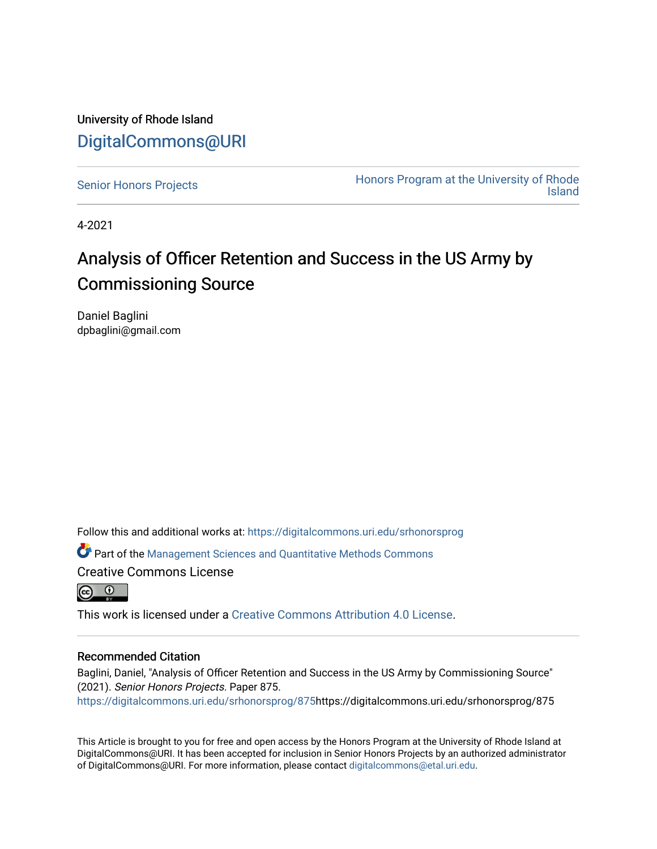University of Rhode Island [DigitalCommons@URI](https://digitalcommons.uri.edu/) 

[Senior Honors Projects](https://digitalcommons.uri.edu/srhonorsprog) **Honors Program at the University of Rhode** [Island](https://digitalcommons.uri.edu/honors_prog) 

4-2021

### Analysis of Officer Retention and Success in the US Army by Commissioning Source

Daniel Baglini dpbaglini@gmail.com

Follow this and additional works at: [https://digitalcommons.uri.edu/srhonorsprog](https://digitalcommons.uri.edu/srhonorsprog?utm_source=digitalcommons.uri.edu%2Fsrhonorsprog%2F875&utm_medium=PDF&utm_campaign=PDFCoverPages)

Part of the [Management Sciences and Quantitative Methods Commons](http://network.bepress.com/hgg/discipline/637?utm_source=digitalcommons.uri.edu%2Fsrhonorsprog%2F875&utm_medium=PDF&utm_campaign=PDFCoverPages) Creative Commons License



This work is licensed under a [Creative Commons Attribution 4.0 License](https://creativecommons.org/licenses/by/4.0/).

#### Recommended Citation

Baglini, Daniel, "Analysis of Officer Retention and Success in the US Army by Commissioning Source" (2021). Senior Honors Projects. Paper 875. [https://digitalcommons.uri.edu/srhonorsprog/875](https://digitalcommons.uri.edu/srhonorsprog/875?utm_source=digitalcommons.uri.edu%2Fsrhonorsprog%2F875&utm_medium=PDF&utm_campaign=PDFCoverPages)https://digitalcommons.uri.edu/srhonorsprog/875

This Article is brought to you for free and open access by the Honors Program at the University of Rhode Island at DigitalCommons@URI. It has been accepted for inclusion in Senior Honors Projects by an authorized administrator of DigitalCommons@URI. For more information, please contact [digitalcommons@etal.uri.edu](mailto:digitalcommons@etal.uri.edu).